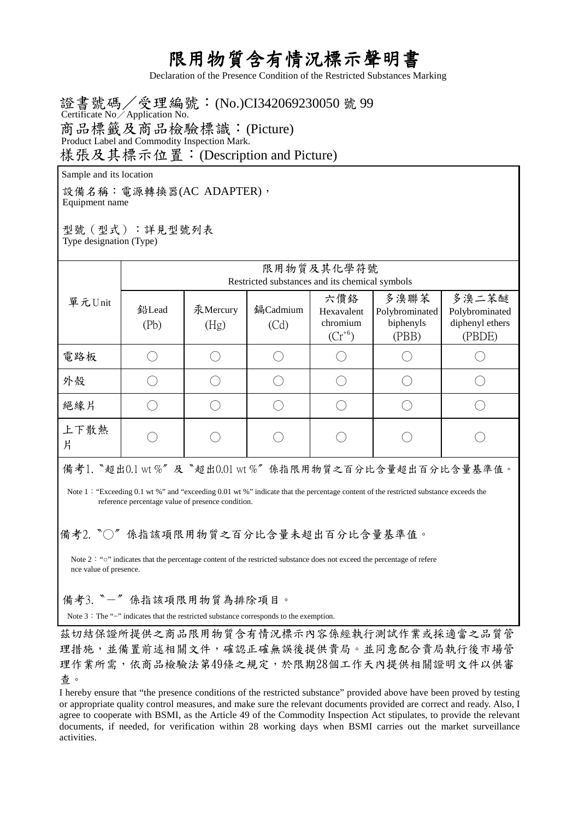## 限用物質含有情況標示聲明書

Declaration of the Presence Condition of the Restricted Substances Marking

證書號碼/受理編號:(No.)CI342069230050 號 99 商品標籤及商品檢驗標識:(Picture) 樣張及其標示位置:(Description and Picture) Certificate No/Application No. Product Label and Commodity Inspection Mark.

Sample and its location

設備名稱: 電源轉換器(AC ADAPTER), Equipment name

型號(型式):詳見型號列表 Type designation (Type)

| 單元Unit                                                 | 限用物質及其化學符號<br>Restricted substances and its chemical symbols |                  |                  |                                             |                                              |                                                      |  |
|--------------------------------------------------------|--------------------------------------------------------------|------------------|------------------|---------------------------------------------|----------------------------------------------|------------------------------------------------------|--|
|                                                        | 鉛Lead<br>(Pb)                                                | 汞Mercury<br>(Hg) | 鎘Cadmium<br>(Cd) | 六價絡<br>Hexavalent<br>chromium<br>$(Cr^{6})$ | 多溴聯苯<br>Polybrominated<br>biphenyls<br>(PBB) | 多溴二苯醚<br>Polybrominated<br>diphenyl ethers<br>(PBDE) |  |
| 電路板                                                    |                                                              |                  |                  |                                             |                                              |                                                      |  |
| 外殼                                                     |                                                              |                  |                  |                                             |                                              |                                                      |  |
| 絕緣片                                                    |                                                              |                  |                  |                                             |                                              |                                                      |  |
| 上下散熱<br>片                                              |                                                              |                  |                  |                                             |                                              |                                                      |  |
| 備考1. "超出0.1 wt %"及"超出0.01 wt %"係指限用物質之百分比含量超出百分比含量基準值。 |                                                              |                  |                  |                                             |                                              |                                                      |  |

Note 1: "Exceeding 0.1 wt %" and "exceeding 0.01 wt %" indicate that the percentage content of the restricted substance exceeds the reference percentage value of presence condition.

備考2. 〝○〞係指該項限用物質之百分比含量未超出百分比含量基準值。

Note 2: "o" indicates that the percentage content of the restricted substance does not exceed the percentage of refere nce value of presence.

備考3.〝-〞係指該項限用物質為排除項目。

Note 3: The "−" indicates that the restricted substance corresponds to the exemption.

茲切結保證所提供之商品限用物質含有情況標示內容係經執行測試作業或採適當之品質管 理措施,並備置前述相關文件,確認正確無誤後提供貴局。並同意配合貴局執行後市場管 理作業所需,依商品檢驗法第49條之規定,於限期28個工作天內提供相關證明文件以供審 查。

I hereby ensure that "the presence conditions of the restricted substance" provided above have been proved by testing or appropriate quality control measures, and make sure the relevant documents provided are correct and ready. Also, I agree to cooperate with BSMI, as the Article 49 of the Commodity Inspection Act stipulates, to provide the relevant documents, if needed, for verification within 28 working days when BSMI carries out the market surveillance activities.